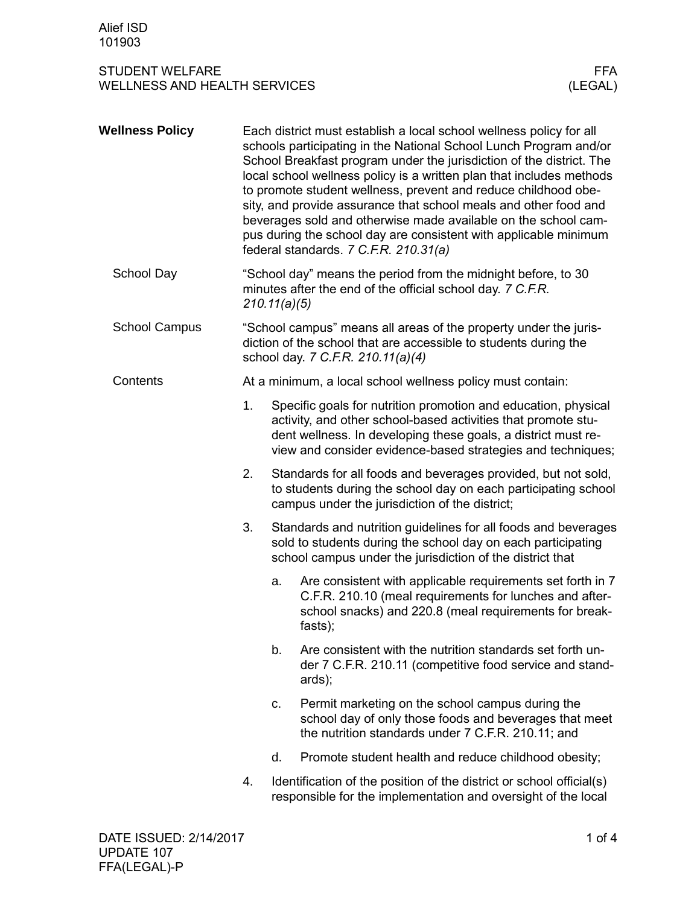## STUDENT WELFARE FFA<br>WELLNESS AND HEALTH SERVICES WELLNESS (LEGAL) WELLNESS AND HEALTH SERVICES

| <b>Wellness Policy</b> |    |                                                                                                                                                                                                                                                                 | Each district must establish a local school wellness policy for all<br>schools participating in the National School Lunch Program and/or<br>School Breakfast program under the jurisdiction of the district. The<br>local school wellness policy is a written plan that includes methods<br>to promote student wellness, prevent and reduce childhood obe-<br>sity, and provide assurance that school meals and other food and<br>beverages sold and otherwise made available on the school cam-<br>pus during the school day are consistent with applicable minimum<br>federal standards. 7 C.F.R. 210.31(a) |  |  |  |
|------------------------|----|-----------------------------------------------------------------------------------------------------------------------------------------------------------------------------------------------------------------------------------------------------------------|---------------------------------------------------------------------------------------------------------------------------------------------------------------------------------------------------------------------------------------------------------------------------------------------------------------------------------------------------------------------------------------------------------------------------------------------------------------------------------------------------------------------------------------------------------------------------------------------------------------|--|--|--|
| School Day             |    | "School day" means the period from the midnight before, to 30<br>minutes after the end of the official school day. 7 C.F.R.<br>210.11(a)(5)                                                                                                                     |                                                                                                                                                                                                                                                                                                                                                                                                                                                                                                                                                                                                               |  |  |  |
| <b>School Campus</b>   |    | "School campus" means all areas of the property under the juris-<br>diction of the school that are accessible to students during the<br>school day. 7 C.F.R. 210.11(a)(4)                                                                                       |                                                                                                                                                                                                                                                                                                                                                                                                                                                                                                                                                                                                               |  |  |  |
| Contents               |    | At a minimum, a local school wellness policy must contain:                                                                                                                                                                                                      |                                                                                                                                                                                                                                                                                                                                                                                                                                                                                                                                                                                                               |  |  |  |
|                        | 1. | Specific goals for nutrition promotion and education, physical<br>activity, and other school-based activities that promote stu-<br>dent wellness. In developing these goals, a district must re-<br>view and consider evidence-based strategies and techniques; |                                                                                                                                                                                                                                                                                                                                                                                                                                                                                                                                                                                                               |  |  |  |
|                        | 2. | Standards for all foods and beverages provided, but not sold,<br>to students during the school day on each participating school<br>campus under the jurisdiction of the district;                                                                               |                                                                                                                                                                                                                                                                                                                                                                                                                                                                                                                                                                                                               |  |  |  |
|                        | 3. |                                                                                                                                                                                                                                                                 | Standards and nutrition guidelines for all foods and beverages<br>sold to students during the school day on each participating<br>school campus under the jurisdiction of the district that                                                                                                                                                                                                                                                                                                                                                                                                                   |  |  |  |
|                        |    | a.                                                                                                                                                                                                                                                              | Are consistent with applicable requirements set forth in 7<br>C.F.R. 210.10 (meal requirements for lunches and after-<br>school snacks) and 220.8 (meal requirements for break-<br>fasts);                                                                                                                                                                                                                                                                                                                                                                                                                    |  |  |  |
|                        |    | b.                                                                                                                                                                                                                                                              | Are consistent with the nutrition standards set forth un-<br>der 7 C.F.R. 210.11 (competitive food service and stand-<br>ards);                                                                                                                                                                                                                                                                                                                                                                                                                                                                               |  |  |  |
|                        |    | c.                                                                                                                                                                                                                                                              | Permit marketing on the school campus during the<br>school day of only those foods and beverages that meet<br>the nutrition standards under 7 C.F.R. 210.11; and                                                                                                                                                                                                                                                                                                                                                                                                                                              |  |  |  |
|                        |    | d.                                                                                                                                                                                                                                                              | Promote student health and reduce childhood obesity;                                                                                                                                                                                                                                                                                                                                                                                                                                                                                                                                                          |  |  |  |
|                        | 4. |                                                                                                                                                                                                                                                                 | Identification of the position of the district or school official(s)<br>responsible for the implementation and oversight of the local                                                                                                                                                                                                                                                                                                                                                                                                                                                                         |  |  |  |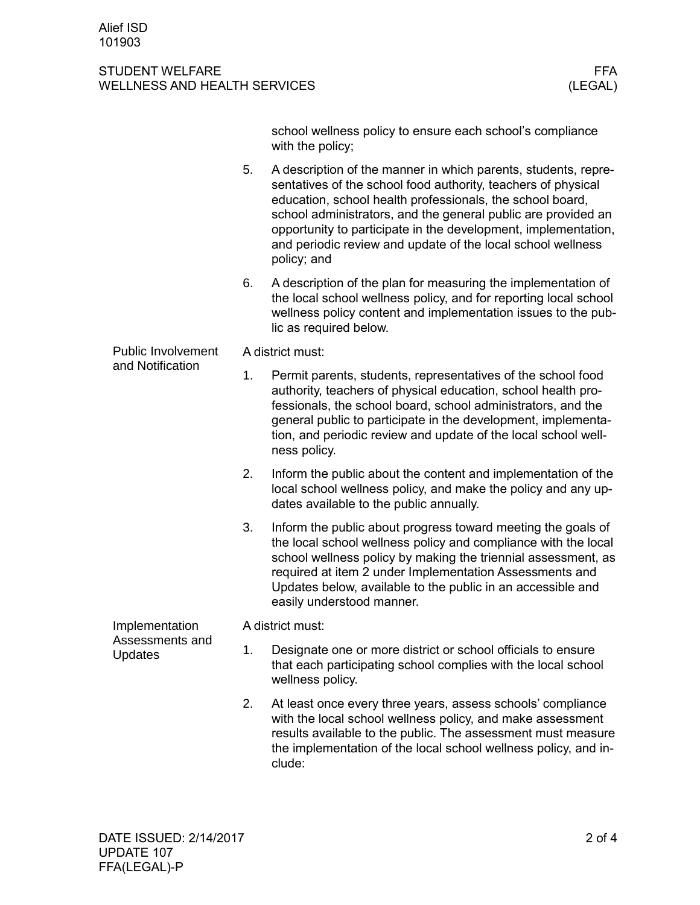## STUDENT WELFARE FFA<br>WELLNESS AND HEALTH SERVICES WELLNESS (LEGAL) WELLNESS AND HEALTH SERVICES

|                                                     |    | school wellness policy to ensure each school's compliance<br>with the policy;                                                                                                                                                                                                                                                                                                                                 |  |  |  |  |
|-----------------------------------------------------|----|---------------------------------------------------------------------------------------------------------------------------------------------------------------------------------------------------------------------------------------------------------------------------------------------------------------------------------------------------------------------------------------------------------------|--|--|--|--|
|                                                     | 5. | A description of the manner in which parents, students, repre-<br>sentatives of the school food authority, teachers of physical<br>education, school health professionals, the school board,<br>school administrators, and the general public are provided an<br>opportunity to participate in the development, implementation,<br>and periodic review and update of the local school wellness<br>policy; and |  |  |  |  |
|                                                     | 6. | A description of the plan for measuring the implementation of<br>the local school wellness policy, and for reporting local school<br>wellness policy content and implementation issues to the pub-<br>lic as required below.                                                                                                                                                                                  |  |  |  |  |
| <b>Public Involvement</b><br>and Notification       |    | A district must:                                                                                                                                                                                                                                                                                                                                                                                              |  |  |  |  |
|                                                     | 1. | Permit parents, students, representatives of the school food<br>authority, teachers of physical education, school health pro-<br>fessionals, the school board, school administrators, and the<br>general public to participate in the development, implementa-<br>tion, and periodic review and update of the local school well-<br>ness policy.                                                              |  |  |  |  |
|                                                     | 2. | Inform the public about the content and implementation of the<br>local school wellness policy, and make the policy and any up-<br>dates available to the public annually.                                                                                                                                                                                                                                     |  |  |  |  |
|                                                     | 3. | Inform the public about progress toward meeting the goals of<br>the local school wellness policy and compliance with the local<br>school wellness policy by making the triennial assessment, as<br>required at item 2 under Implementation Assessments and<br>Updates below, available to the public in an accessible and<br>easily understood manner.                                                        |  |  |  |  |
| Implementation<br>Assessments and<br><b>Updates</b> |    | A district must:                                                                                                                                                                                                                                                                                                                                                                                              |  |  |  |  |
|                                                     | 1. | Designate one or more district or school officials to ensure<br>that each participating school complies with the local school<br>wellness policy.                                                                                                                                                                                                                                                             |  |  |  |  |
|                                                     | 2. | At least once every three years, assess schools' compliance<br>with the local school wellness policy, and make assessment<br>results available to the public. The assessment must measure<br>the implementation of the local school wellness policy, and in-                                                                                                                                                  |  |  |  |  |

clude: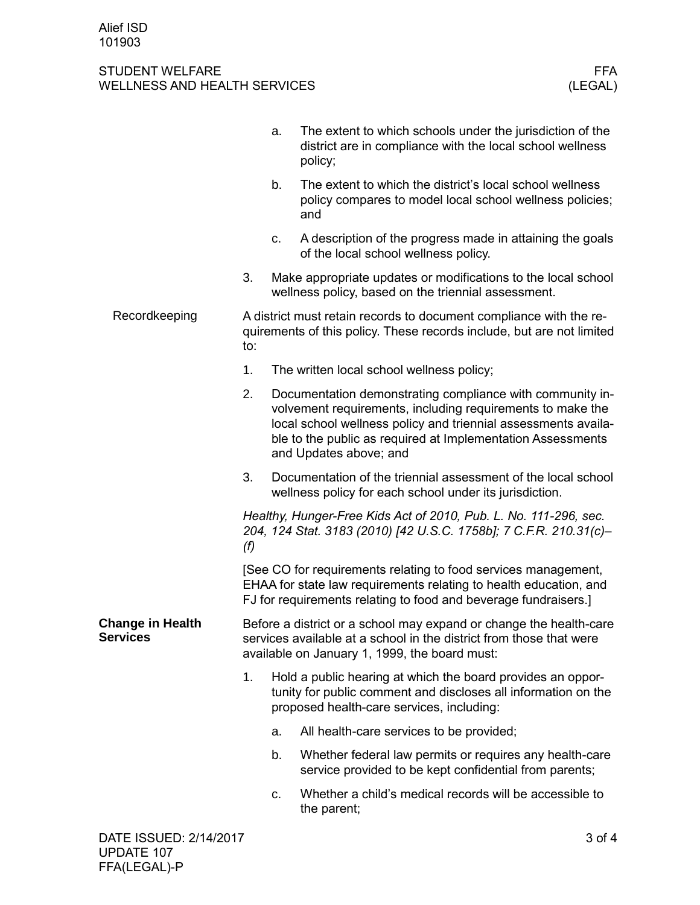## STUDENT WELFARE FFA<br>WELLNESS AND HEALTH SERVICES WELLNESS (LEGAL) WELLNESS AND HEALTH SERVICES

|                                            | a.                                                                                                                                                                                                                                                                                       |                                                                                                                      | The extent to which schools under the jurisdiction of the<br>district are in compliance with the local school wellness<br>policy;                                          |        |  |  |
|--------------------------------------------|------------------------------------------------------------------------------------------------------------------------------------------------------------------------------------------------------------------------------------------------------------------------------------------|----------------------------------------------------------------------------------------------------------------------|----------------------------------------------------------------------------------------------------------------------------------------------------------------------------|--------|--|--|
|                                            |                                                                                                                                                                                                                                                                                          | b.                                                                                                                   | The extent to which the district's local school wellness<br>policy compares to model local school wellness policies;<br>and                                                |        |  |  |
|                                            |                                                                                                                                                                                                                                                                                          | c.                                                                                                                   | A description of the progress made in attaining the goals<br>of the local school wellness policy.                                                                          |        |  |  |
|                                            | 3.                                                                                                                                                                                                                                                                                       | Make appropriate updates or modifications to the local school<br>wellness policy, based on the triennial assessment. |                                                                                                                                                                            |        |  |  |
| Recordkeeping                              | A district must retain records to document compliance with the re-<br>quirements of this policy. These records include, but are not limited<br>to:                                                                                                                                       |                                                                                                                      |                                                                                                                                                                            |        |  |  |
|                                            | 1.                                                                                                                                                                                                                                                                                       | The written local school wellness policy;                                                                            |                                                                                                                                                                            |        |  |  |
|                                            | 2.<br>Documentation demonstrating compliance with community in-<br>volvement requirements, including requirements to make the<br>local school wellness policy and triennial assessments availa-<br>ble to the public as required at Implementation Assessments<br>and Updates above; and |                                                                                                                      |                                                                                                                                                                            |        |  |  |
|                                            | 3.                                                                                                                                                                                                                                                                                       |                                                                                                                      | Documentation of the triennial assessment of the local school<br>wellness policy for each school under its jurisdiction.                                                   |        |  |  |
|                                            | Healthy, Hunger-Free Kids Act of 2010, Pub. L. No. 111-296, sec.<br>204, 124 Stat. 3183 (2010) [42 U.S.C. 1758b]; 7 C.F.R. 210.31(c)-<br>(f)                                                                                                                                             |                                                                                                                      |                                                                                                                                                                            |        |  |  |
|                                            | [See CO for requirements relating to food services management,<br>EHAA for state law requirements relating to health education, and<br>FJ for requirements relating to food and beverage fundraisers.]                                                                                   |                                                                                                                      |                                                                                                                                                                            |        |  |  |
| <b>Change in Health</b><br><b>Services</b> | Before a district or a school may expand or change the health-care<br>services available at a school in the district from those that were<br>available on January 1, 1999, the board must:                                                                                               |                                                                                                                      |                                                                                                                                                                            |        |  |  |
|                                            | 1 <sub>1</sub>                                                                                                                                                                                                                                                                           |                                                                                                                      | Hold a public hearing at which the board provides an oppor-<br>tunity for public comment and discloses all information on the<br>proposed health-care services, including: |        |  |  |
|                                            |                                                                                                                                                                                                                                                                                          | a.                                                                                                                   | All health-care services to be provided;                                                                                                                                   |        |  |  |
|                                            |                                                                                                                                                                                                                                                                                          | b.                                                                                                                   | Whether federal law permits or requires any health-care<br>service provided to be kept confidential from parents;                                                          |        |  |  |
|                                            |                                                                                                                                                                                                                                                                                          | C.                                                                                                                   | Whether a child's medical records will be accessible to<br>the parent;                                                                                                     |        |  |  |
| DATE ISSUED: 2/14/2017                     |                                                                                                                                                                                                                                                                                          |                                                                                                                      |                                                                                                                                                                            | 3 of 4 |  |  |